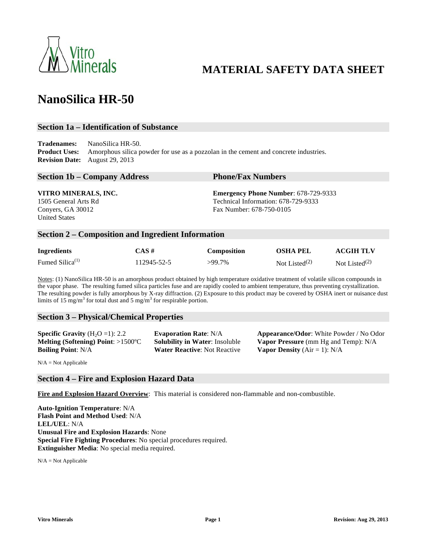

## **MATERIAL SAFETY DATA SHEET**

# **NanoSilica HR-50**

#### **Section 1a – Identification of Substance**

**Tradenames: Product Uses: Revision Date:** August 29, 2013 NanoSilica HR-50. Amorphous silica powder for use as a pozzolan in the cement and concrete industries.

| <b>Phone/Fax Numbers</b>                    |  |  |
|---------------------------------------------|--|--|
| <b>Emergency Phone Number: 678-729-9333</b> |  |  |
| Technical Information: 678-729-9333         |  |  |
| Fax Number: 678-750-0105                    |  |  |
|                                             |  |  |
|                                             |  |  |

#### **Section 2 – Composition and Ingredient Information**

| <b>Ingredients</b>          | CAS #       | Composition | <b>OSHA PEL</b>  | <b>ACGIH TLV</b> |
|-----------------------------|-------------|-------------|------------------|------------------|
| Fumed Silica <sup>(1)</sup> | 112945-52-5 | >99.7%      | Not Listed $(2)$ | Not Listed $(2)$ |

Notes: (1) NanoSilica HR-50 is an amorphous product obtained by high temperature oxidative treatment of volatile silicon compounds in the vapor phase. The resulting fumed silica particles fuse and are rapidly cooled to ambient temperature, thus preventing crystallization. The resulting powder is fully amorphous by X-ray diffraction. (2) Exposure to this product may be covered by OSHA inert or nuisance dust limits of 15 mg/m<sup>3</sup> for total dust and 5 mg/m<sup>3</sup> for respirable portion.

#### **Section 3 – Physical/Chemical Properties**

Melting (Softening) Point: >1500°C **Boiling Point**: N/A **Water Reactive**: Not Reactive **Vapor Density** (Air = 1): N/A

**Specific Gravity** (H<sub>2</sub>O =1): 2.2 **Evaporation Rate**: N/A **Appearance/Odor**: White Powder / No Odor **Solubility in Water: Insoluble <b>Vapor Pressure** (mm Hg and Temp): N/A

 $N/A = Not Applicable$ 

#### **Section 4 – Fire and Explosion Hazard Data**

 **Fire and Explosion Hazard Overview**: This material is considered non-flammable and non-combustible.

 **Flash Point and Method Used**: N/A  **Unusual Fire and Explosion Hazards**: None  **Special Fire Fighting Procedures**: No special procedures required. **Auto-Ignition Temperature**: N/A **LEL/UEL**: N/A **Extinguisher Media**: No special media required.

 $N/A = Not Applicable$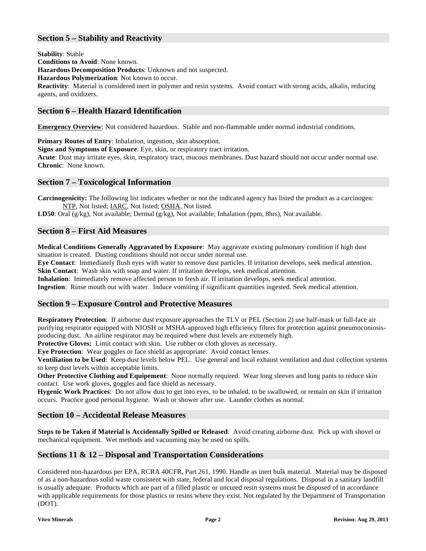## **Section 5 – Stability and Reactivity**

**Stability**: Stable

 **Conditions to Avoid**: None known.

**Hazardous Decomposition Products**: Unknown and not suspected.

**Hazardous Polymerization**: Not known to occur.

 **Reactivity**: Material is considered inert in polymer and resin systems. Avoid contact with strong acids, alkalis, reducing agents, and oxidizers.

## **Section 6 – Health Hazard Identification**

**Emergency Overview**: Not considered hazardous. Stable and non-flammable under normal industrial conditions.

**Primary Routes of Entry**: Inhalation, ingestion, skin absorption.

 **Signs and Symptoms of Exposure**: Eye, skin, or respiratory tract irritation.

**Acute**: Dust may irritate eyes, skin, respiratory tract, mucous membranes. Dust hazard should not occur under normal use. **Chronic**: None known.

## **Section 7 – Toxicological Information**

 **Carcinogenicity:** The following list indicates whether or not the indicated agency has listed the product as a carcinogen: NTP, Not listed; *IARC*, Not listed; OSHA, Not listed.

**LD50**: Oral (g/kg), Not available; Dermal (g/kg), Not available; Inhalation (ppm, 8hrs), Not available.

#### **Section 8 – First Aid Measures**

 **Medical Conditions Generally Aggravated by Exposure**: May aggravate existing pulmonary condition if high dust situation is created. Dusting conditions should not occur under normal use.

**Eye Contact**: Immediately flush eyes with water to remove dust particles. If irritation develops, seek medical attention. **Skin Contact**: Wash skin with soap and water. If irritation develops, seek medical attention.

**Inhalation**: Immediately remove affected person to fresh air. If irritation develops, seek medical attention.

**Ingestion**: Rinse mouth out with water. Induce vomiting if significant quantities ingested. Seek medical attention.

## **Section 9 – Exposure Control and Protective Measures**

 **Respiratory Protection**: If airborne dust exposure approaches the TLV or PEL (Section 2) use half-mask or full-face air purifying respirator equipped with NIOSH or MSHA-approved high efficiency filters for protection against pneumoconiosis-producing dust. An airline respirator may be required where dust levels are extremely high.

Protective Gloves: Limit contact with skin. Use rubber or cloth gloves as necessary.

**Eye Protection**: Wear goggles or face shield as appropriate. Avoid contact lenses.

 **Ventiliation to be Used**: Keep dust levels below PEL. Use general and local exhaust ventilation and dust collection systems to keep dust levels within acceptable limits.

Other Protective Clothing and Equipement: None normally required. Wear long sleeves and long pants to reduce skin contact. Use work gloves, goggles and face shield as necessary.

 **Hygenic Work Practices**: Do not allow dust to get into eyes, to be inhaled, to be swallowed, or remain on skin if irritation occurs. Practice good personal hygiene. Wash or shower after use. Launder clothes as normal.

## **Section 10 – Accidental Release Measures**

 **Steps to be Taken if Material is Accidentally Spilled or Released**: Avoid creating airborne dust. Pick up with shovel or mechanical equipment. Wet methods and vacuuming may be used on spills.

## **Sections 11 & 12 – Disposal and Transportation Considerations**

 Considered non-hazardous per EPA, RCRA 40CFR, Part 261, 1990. Handle as inert bulk material. Material may be disposed of as a non-hazardous solid waste consistent with state, federal and local disposal regulations. Disposal in a sanitary landfill with applicable requirements for those plastics or resins where they exist. Not regulated by the Department of Transportation is usually adequate. Products which are part of a filled plastic or uncured resin systems must be disposed of in accordance (DOT).